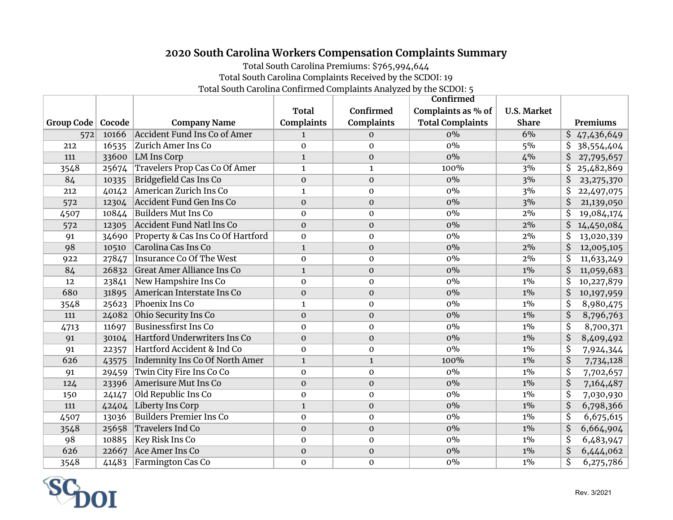## **2020 South Carolina Workers Compensation Complaints Summary**

Total South Carolina Premiums: \$765,994,644

Total South Carolina Complaints Received by the SCDOI: 19

Total South Carolina Confirmed Complaints Analyzed by the SCDOI: 5

|            |        |                                      |                   |                   | Confirmed               |                    |                                       |
|------------|--------|--------------------------------------|-------------------|-------------------|-------------------------|--------------------|---------------------------------------|
|            |        |                                      | Total             | Confirmed         | Complaints as % of      | <b>U.S. Market</b> |                                       |
| Group Code | Cocode | <b>Company Name</b>                  | <b>Complaints</b> | <b>Complaints</b> | <b>Total Complaints</b> | <b>Share</b>       | Premiums                              |
| 572        | 10166  | <b>Accident Fund Ins Co of Amer</b>  | $\mathbf{1}$      | 0                 | $0\%$                   | 6%                 | \$47,436,649                          |
| 212        | 16535  | Zurich Amer Ins Co                   | $\mathbf 0$       | $\mathbf{O}$      | $0\%$                   | 5%                 | \$<br>38,554,404                      |
| 111        | 33600  | <b>LM Ins Corp</b>                   | $\mathbf{1}$      | $\mathbf{O}$      | 0%                      | 4%                 | \$<br>27,795,657                      |
| 3548       | 25674  | <b>Travelers Prop Cas Co Of Amer</b> | $\mathbf{1}$      | $\mathbf{1}$      | 100%                    | 3%                 | 25,482,869<br>\$                      |
| 84         | 10335  | <b>Bridgefield Cas Ins Co</b>        | $\Omega$          | $\mathbf 0$       | $0\%$                   | 3%                 | \$<br>23, 275, 370                    |
| 212        | 40142  | American Zurich Ins Co               | $\mathbf{1}$      | $\mathbf 0$       | $0\%$                   | 3%                 | \$<br>22,497,075                      |
| 572        | 12304  | Accident Fund Gen Ins Co             | $\mathbf{0}$      | $\boldsymbol{0}$  | $0\%$                   | 3%                 | \$<br>21,139,050                      |
| 4507       | 10844  | <b>Builders Mut Ins Co</b>           | $\mathbf{O}$      | $\mathbf 0$       | $0\%$                   | 2%                 | \$<br>19,084,174                      |
| 572        | 12305  | <b>Accident Fund Natl Ins Co</b>     | $\mathbf{0}$      | $\boldsymbol{0}$  | $0\%$                   | 2%                 | \$<br>14,450,084                      |
| 91         | 34690  | Property & Cas Ins Co Of Hartford    | $\mathbf 0$       | $\mathbf 0$       | $0\%$                   | 2%                 | \$<br>13,020,339                      |
| 98         | 10510  | Carolina Cas Ins Co                  | $\mathbf{1}$      | $\boldsymbol{0}$  | $0\%$                   | 2%                 | \$<br>12,005,105                      |
| 922        | 27847  | <b>Insurance Co Of The West</b>      | $\mathbf 0$       | $\mathbf 0$       | $0\%$                   | 2%                 | \$<br>11,633,249                      |
| 84         | 26832  | <b>Great Amer Alliance Ins Co</b>    | $\mathbf{1}$      | $\mathbf{O}$      | $0\%$                   | $1\%$              | \$<br>11,059,683                      |
| 12         | 23841  | New Hampshire Ins Co                 | $\Omega$          | $\mathbf{0}$      | $0\%$                   | $1\%$              | \$<br>10,227,879                      |
| 680        | 31895  | American Interstate Ins Co           | $\mathbf{0}$      | $\boldsymbol{0}$  | $0\%$                   | $1\%$              | \$<br>10,197,959                      |
| 3548       | 25623  | Phoenix Ins Co                       | $\mathbf{1}$      | $\mathbf 0$       | $0\%$                   | $1\%$              | \$<br>8,980,475                       |
| 111        | 24082  | Ohio Security Ins Co                 | $\mathbf{O}$      | $\boldsymbol{0}$  | $0\%$                   | $1\%$              | $\overline{\mathcal{S}}$<br>8,796,763 |
| 4713       | 11697  | <b>Businessfirst Ins Co</b>          | $\Omega$          | $\mathbf{0}$      | $0\%$                   | $1\%$              | \$<br>8,700,371                       |
| 91         | 30104  | Hartford Underwriters Ins Co         | $\Omega$          | $\mathbf{O}$      | $0\%$                   | $1\%$              | $\overline{\mathsf{S}}$<br>8,409,492  |
| 91         | 22357  | Hartford Accident & Ind Co           | $\mathbf{O}$      | $\mathbf 0$       | $0\%$                   | $1\%$              | $\overline{\mathcal{S}}$<br>7,924,344 |
| 626        | 43575  | Indemnity Ins Co Of North Amer       | $\mathbf{1}$      | $\mathbf 1$       | 100%                    | $1\%$              | $\overline{\mathsf{S}}$<br>7,734,128  |
| 91         | 29459  | Twin City Fire Ins Co Co             | $\mathbf{0}$      | $\mathbf{0}$      | $0\%$                   | $1\%$              | \$<br>7,702,657                       |
| 124        | 23396  | Amerisure Mut Ins Co                 | $\Omega$          | $\mathbf{O}$      | 0%                      | $1\%$              | $\overline{\mathsf{S}}$<br>7,164,487  |
| 150        | 24147  | Old Republic Ins Co                  | $\mathbf{O}$      | $\mathbf 0$       | $0\%$                   | $1\%$              | $\overline{\mathsf{S}}$<br>7,030,930  |
| 111        | 42404  | <b>Liberty Ins Corp</b>              | $\mathbf{1}$      | $\mathbf{O}$      | $0\%$                   | $1\%$              | $\overline{\mathcal{S}}$<br>6,798,366 |
| 4507       | 13036  | <b>Builders Premier Ins Co</b>       | $\mathbf{0}$      | $\mathbf{O}$      | $0\%$                   | $1\%$              | $\overline{\mathsf{S}}$<br>6,675,615  |
| 3548       | 25658  | <b>Travelers Ind Co</b>              | $\mathbf{0}$      | $\boldsymbol{0}$  | $0\%$                   | $1\%$              | \$<br>6,664,904                       |
| 98         | 10885  | Key Risk Ins Co                      | $\Omega$          | $\mathbf{0}$      | $0\%$                   | $1\%$              | $\overline{\mathcal{S}}$<br>6,483,947 |
| 626        | 22667  | <b>Ace Amer Ins Co</b>               | $\mathbf{0}$      | $\mathbf{O}$      | 0%                      | $1\%$              | \$<br>6,444,062                       |
| 3548       | 41483  | Farmington Cas Co                    | $\mathbf{0}$      | $\mathbf 0$       | $0\%$                   | $1\%$              | \$<br>6,275,786                       |

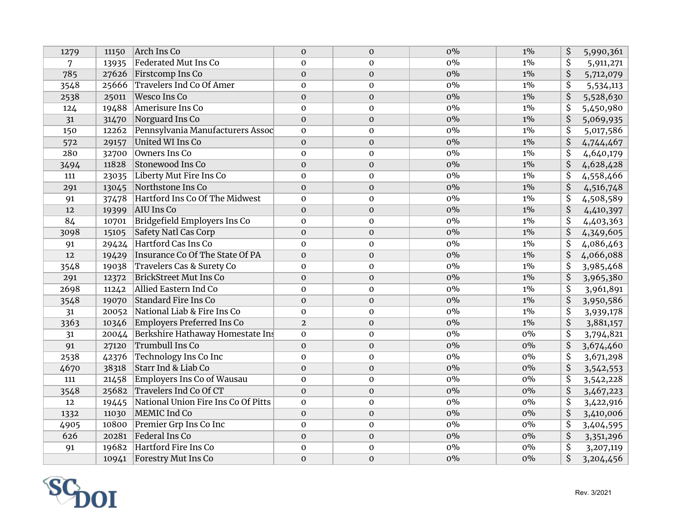| 1279 | 11150 | Arch Ins Co                         | $\mathbf{0}$     | $\mathbf{0}$     | $0\%$ | $1\%$ | \$                      | 5,990,361 |
|------|-------|-------------------------------------|------------------|------------------|-------|-------|-------------------------|-----------|
| 7    | 13935 | <b>Federated Mut Ins Co</b>         | $\Omega$         | $\mathbf{0}$     | $0\%$ | $1\%$ | \$                      | 5,911,271 |
| 785  | 27626 | Firstcomp Ins Co                    | $\boldsymbol{0}$ | $\mathbf 0$      | $0\%$ | $1\%$ | \$                      | 5,712,079 |
| 3548 | 25666 | <b>Travelers Ind Co Of Amer</b>     | $\mathbf 0$      | $\mathbf 0$      | $0\%$ | $1\%$ | $\overline{\mathsf{S}}$ | 5,534,113 |
| 2538 | 25011 | <b>Wesco Ins Co</b>                 | $\mathbf{O}$     | $\boldsymbol{0}$ | $0\%$ | $1\%$ | \$                      | 5,528,630 |
| 124  | 19488 | Amerisure Ins Co                    | $\mathbf 0$      | $\mathbf 0$      | $0\%$ | $1\%$ | \$                      | 5,450,980 |
| 31   | 31470 | Norguard Ins Co                     | $\mathbf{0}$     | $\mathbf{0}$     | $0\%$ | $1\%$ | \$                      | 5,069,935 |
| 150  | 12262 | Pennsylvania Manufacturers Assoc    | $\mathbf 0$      | $\mathbf 0$      | $0\%$ | $1\%$ | \$                      | 5,017,586 |
| 572  | 29157 | United WI Ins Co                    | $\mathbf{O}$     | $\mathbf{O}$     | $0\%$ | $1\%$ | \$                      | 4,744,467 |
| 280  | 32700 | Owners Ins Co                       | $\mathbf{0}$     | $\mathbf 0$      | $0\%$ | $1\%$ | \$                      | 4,640,179 |
| 3494 | 11828 | Stonewood Ins Co                    | $\mathbf{0}$     | $\boldsymbol{0}$ | $0\%$ | $1\%$ | \$                      | 4,628,428 |
| 111  | 23035 | Liberty Mut Fire Ins Co             | $\mathbf{0}$     | $\mathbf{0}$     | $0\%$ | $1\%$ | \$                      | 4,558,466 |
| 291  | 13045 | Northstone Ins Co                   | $\mathbf{O}$     | $\mathbf 0$      | $0\%$ | $1\%$ | \$                      | 4,516,748 |
| 91   | 37478 | Hartford Ins Co Of The Midwest      | $\mathbf 0$      | $\mathbf 0$      | $0\%$ | $1\%$ | $\overline{\mathsf{S}}$ | 4,508,589 |
| 12   | 19399 | AIU Ins Co                          | $\mathbf{O}$     | $\mathbf 0$      | $0\%$ | $1\%$ | $\overline{\mathsf{S}}$ | 4,410,397 |
| 84   | 10701 | Bridgefield Employers Ins Co        | $\mathbf 0$      | $\mathbf{O}$     | $0\%$ | $1\%$ | $\overline{\mathsf{S}}$ | 4,403,363 |
| 3098 | 15105 | Safety Natl Cas Corp                | $\mathbf{O}$     | $\mathbf{O}$     | $0\%$ | $1\%$ | \$                      | 4,349,605 |
| 91   | 29424 | Hartford Cas Ins Co                 | $\Omega$         | $\mathbf{O}$     | $0\%$ | $1\%$ | \$                      | 4,086,463 |
| 12   | 19429 | Insurance Co Of The State Of PA     | $\boldsymbol{0}$ | $\mathbf{O}$     | $0\%$ | $1\%$ | \$                      | 4,066,088 |
| 3548 | 19038 | Travelers Cas & Surety Co           | $\mathbf 0$      | $\mathbf{O}$     | $0\%$ | $1\%$ | \$                      | 3,985,468 |
| 291  | 12372 | <b>BrickStreet Mut Ins Co</b>       | $\mathbf{O}$     | $\mathbf{O}$     | $0\%$ | $1\%$ | \$                      | 3,965,380 |
| 2698 | 11242 | Allied Eastern Ind Co               | $\mathbf{0}$     | $\mathbf{O}$     | $0\%$ | $1\%$ | \$                      | 3,961,891 |
| 3548 | 19070 | <b>Standard Fire Ins Co</b>         | $\Omega$         | $\mathbf 0$      | $0\%$ | $1\%$ | \$                      | 3,950,586 |
| 31   | 20052 | National Liab & Fire Ins Co         | $\mathbf 0$      | $\mathbf 0$      | $0\%$ | $1\%$ | \$                      | 3,939,178 |
| 3363 | 10346 | Employers Preferred Ins Co          | $\overline{2}$   | $\boldsymbol{0}$ | $0\%$ | $1\%$ | \$                      | 3,881,157 |
| 31   | 20044 | Berkshire Hathaway Homestate Ins    | $\mathbf 0$      | $\pmb{0}$        | $0\%$ | $0\%$ | \$                      | 3,794,821 |
| 91   | 27120 | <b>Trumbull Ins Co</b>              | $\mathbf{O}$     | $\boldsymbol{0}$ | $0\%$ | $0\%$ | \$                      | 3,674,460 |
| 2538 | 42376 | Technology Ins Co Inc               | $\mathbf 0$      | $\pmb{0}$        | $0\%$ | $0\%$ | $\overline{\mathsf{S}}$ | 3,671,298 |
| 4670 | 38318 | <b>Starr Ind &amp; Liab Co</b>      | $\mathbf{0}$     | $\mathbf 0$      | $0\%$ | $0\%$ | \$                      | 3,542,553 |
| 111  | 21458 | <b>Employers Ins Co of Wausau</b>   | $\mathbf 0$      | $\pmb{0}$        | $0\%$ | $0\%$ | \$                      | 3,542,228 |
| 3548 | 25682 | Travelers Ind Co Of CT              | $\boldsymbol{0}$ | $\boldsymbol{0}$ | $0\%$ | $0\%$ | \$                      | 3,467,223 |
| 12   | 19445 | National Union Fire Ins Co Of Pitts | $\mathbf{O}$     | $\pmb{0}$        | $0\%$ | $0\%$ | \$                      | 3,422,916 |
| 1332 | 11030 | MEMIC Ind Co                        | $\mathbf{O}$     | $\boldsymbol{0}$ | $0\%$ | $0\%$ | \$                      | 3,410,006 |
| 4905 | 10800 | Premier Grp Ins Co Inc              | $\mathbf{0}$     | $\mathbf{0}$     | $0\%$ | $0\%$ | \$                      | 3,404,595 |
| 626  | 20281 | Federal Ins Co                      | $\mathbf{0}$     | $\mathbf{0}$     | $0\%$ | $0\%$ | \$                      | 3,351,296 |
| 91   | 19682 | Hartford Fire Ins Co                | $\boldsymbol{0}$ | $\mathbf 0$      | $0\%$ | $0\%$ | \$                      | 3,207,119 |
|      |       | 10941 Forestry Mut Ins Co           | $\mathbf{O}$     | $\mathbf 0$      | $0\%$ | $0\%$ | \$                      | 3,204,456 |

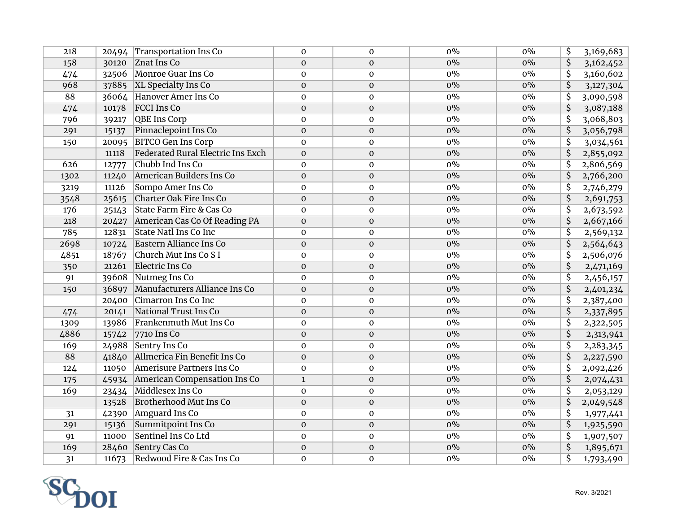| 218  | 20494 | Transportation Ins Co                    | $\Omega$         | $\mathbf{0}$     | $0\%$ | $0\%$ | \$                                   | 3,169,683 |
|------|-------|------------------------------------------|------------------|------------------|-------|-------|--------------------------------------|-----------|
| 158  | 30120 | Znat Ins Co                              | $\mathbf{0}$     | $\mathbf{0}$     | $0\%$ | $0\%$ | \$                                   | 3,162,452 |
| 474  | 32506 | Monroe Guar Ins Co                       | $\mathbf 0$      | $\pmb{0}$        | $0\%$ | $0\%$ | \$                                   | 3,160,602 |
| 968  | 37885 | <b>XL Specialty Ins Co</b>               | $\boldsymbol{0}$ | $\mathbf{O}$     | $0\%$ | $0\%$ | $\overline{\mathsf{S}}$              | 3,127,304 |
| 88   | 36064 | Hanover Amer Ins Co                      | $\mathbf{O}$     | $\mathbf 0$      | $0\%$ | $0\%$ | \$                                   | 3,090,598 |
| 474  | 10178 | <b>FCCI</b> Ins Co                       | $\mathbf{O}$     | $\mathbf{O}$     | $0\%$ | $0\%$ | \$                                   | 3,087,188 |
| 796  | 39217 | <b>QBE Ins Corp</b>                      | $\mathbf{O}$     | $\mathbf{O}$     | $0\%$ | $0\%$ | \$                                   | 3,068,803 |
| 291  | 15137 | Pinnaclepoint Ins Co                     | $\mathbf{0}$     | $\mathbf{O}$     | $0\%$ | $0\%$ | \$                                   | 3,056,798 |
| 150  | 20095 | <b>BITCO Gen Ins Corp</b>                | $\mathbf{0}$     | $\mathbf 0$      | $0\%$ | $0\%$ | \$                                   | 3,034,561 |
|      | 11118 | <b>Federated Rural Electric Ins Exch</b> | $\mathbf 0$      | $\mathbf{O}$     | $0\%$ | $0\%$ | \$                                   | 2,855,092 |
| 626  | 12777 | Chubb Ind Ins Co                         | $\mathbf{O}$     | $\mathbf{0}$     | $0\%$ | $0\%$ | \$                                   | 2,806,569 |
| 1302 | 11240 | American Builders Ins Co                 | $\mathbf{O}$     | $\boldsymbol{0}$ | $0\%$ | $0\%$ | \$                                   | 2,766,200 |
| 3219 | 11126 | Sompo Amer Ins Co                        | $\mathbf{O}$     | $\mathbf 0$      | $0\%$ | $0\%$ | $\overline{\mathsf{S}}$              | 2,746,279 |
| 3548 | 25615 | Charter Oak Fire Ins Co                  | $\mathbf{0}$     | $\mathbf{O}$     | $0\%$ | $0\%$ | $\overline{\mathsf{S}}$              | 2,691,753 |
| 176  | 25143 | State Farm Fire & Cas Co                 | $\Omega$         | $\mathbf{0}$     | $0\%$ | $0\%$ | $\overline{\mathsf{S}}$              | 2,673,592 |
| 218  | 20427 | American Cas Co Of Reading PA            | $\mathbf{O}$     | $\mathbf{O}$     | $0\%$ | $0\%$ | $\overline{\boldsymbol{\mathsf{S}}}$ | 2,667,166 |
| 785  | 12831 | State Natl Ins Co Inc                    | $\mathbf{0}$     | $\mathbf{O}$     | $0\%$ | $0\%$ | \$                                   | 2,569,132 |
| 2698 | 10724 | Eastern Alliance Ins Co                  | $\mathbf{O}$     | $\mathbf{O}$     | $0\%$ | $0\%$ | \$                                   | 2,564,643 |
| 4851 | 18767 | Church Mut Ins Co S I                    | $\mathbf 0$      | $\mathbf{O}$     | $0\%$ | $0\%$ | \$                                   | 2,506,076 |
| 350  | 21261 | Electric Ins Co                          | $\mathbf{0}$     | $\mathbf{0}$     | $0\%$ | $0\%$ | \$                                   | 2,471,169 |
| 91   | 39608 | Nutmeg Ins Co                            | $\mathbf{0}$     | $\mathbf{0}$     | $0\%$ | $0\%$ | \$                                   | 2,456,157 |
| 150  | 36897 | Manufacturers Alliance Ins Co            | $\mathbf{O}$     | $\boldsymbol{0}$ | $0\%$ | $0\%$ | \$                                   | 2,401,234 |
|      | 20400 | Cimarron Ins Co Inc                      | $\mathbf 0$      | $\pmb{0}$        | $0\%$ | $0\%$ | \$                                   | 2,387,400 |
| 474  | 20141 | National Trust Ins Co                    | $\mathbf{O}$     | $\boldsymbol{0}$ | $0\%$ | $0\%$ | \$                                   | 2,337,895 |
| 1309 | 13986 | Frankenmuth Mut Ins Co                   | $\mathbf 0$      | $\pmb{0}$        | $0\%$ | $0\%$ | $\overline{\mathsf{S}}$              | 2,322,505 |
| 4886 | 15742 | 7710 Ins Co                              | $\mathbf{O}$     | $\boldsymbol{0}$ | $0\%$ | $0\%$ | \$                                   | 2,313,941 |
| 169  | 24988 | Sentry Ins Co                            | $\mathbf{O}$     | $\mathbf 0$      | $0\%$ | $0\%$ | \$                                   | 2,283,345 |
| 88   | 41840 | Allmerica Fin Benefit Ins Co             | $\mathbf 0$      | $\boldsymbol{0}$ | $0\%$ | $0\%$ | \$                                   | 2,227,590 |
| 124  | 11050 | Amerisure Partners Ins Co                | $\mathbf 0$      | $\pmb{0}$        | $0\%$ | $0\%$ | \$                                   | 2,092,426 |
| 175  | 45934 | American Compensation Ins Co             | $\mathbf{1}$     | $\boldsymbol{0}$ | $0\%$ | $0\%$ | \$                                   | 2,074,431 |
| 169  | 23434 | Middlesex Ins Co                         | $\mathbf 0$      | $\pmb{0}$        | $0\%$ | $0\%$ | \$                                   | 2,053,129 |
|      | 13528 | <b>Brotherhood Mut Ins Co</b>            | $\mathbf{0}$     | $\mathbf 0$      | $0\%$ | $0\%$ | \$                                   | 2,049,548 |
| 31   | 42390 | Amguard Ins Co                           | $\mathbf{0}$     | $\mathbf 0$      | $0\%$ | $0\%$ | \$                                   | 1,977,441 |
| 291  | 15136 | Summitpoint Ins Co                       | $\mathbf{0}$     | $\mathbf{O}$     | $0\%$ | $0\%$ | \$                                   | 1,925,590 |
| 91   | 11000 | Sentinel Ins Co Ltd                      | $\mathbf 0$      | $\mathbf 0$      | $0\%$ | $0\%$ | \$                                   | 1,907,507 |
| 169  | 28460 | Sentry Cas Co                            | $\mathbf 0$      | $\mathbf 0$      | $0\%$ | $0\%$ | \$                                   | 1,895,671 |
| 31   | 11673 | Redwood Fire & Cas Ins Co                | $\mathbf 0$      | $\mathbf 0$      | $0\%$ | $0\%$ | \$                                   | 1,793,490 |

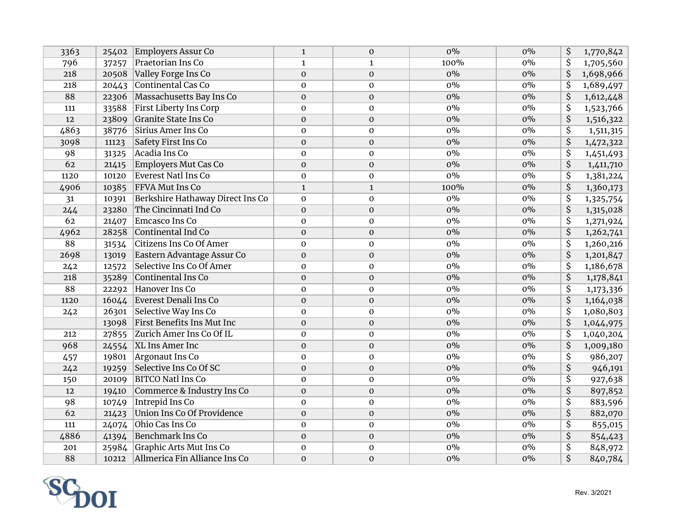| 3363 | 25402 | Employers Assur Co                | $\mathbf{1}$     | $\mathbf{O}$     | $0\%$ | $0\%$ | \$                                   | 1,770,842 |
|------|-------|-----------------------------------|------------------|------------------|-------|-------|--------------------------------------|-----------|
| 796  | 37257 | Praetorian Ins Co                 | $\mathbf{1}$     | $\mathbf{1}$     | 100%  | $0\%$ | \$                                   | 1,705,560 |
| 218  | 20508 | Valley Forge Ins Co               | $\boldsymbol{0}$ | $\boldsymbol{0}$ | $0\%$ | $0\%$ | \$                                   | 1,698,966 |
| 218  | 20443 | Continental Cas Co                | $\pmb{0}$        | $\pmb{0}$        | $0\%$ | $0\%$ | \$                                   | 1,689,497 |
| 88   | 22306 | Massachusetts Bay Ins Co          | $\mathbf 0$      | $\boldsymbol{0}$ | $0\%$ | $0\%$ | $\overline{\mathsf{S}}$              | 1,612,448 |
| 111  | 33588 | <b>First Liberty Ins Corp</b>     | $\mathbf 0$      | $\boldsymbol{0}$ | $0\%$ | $0\%$ | $\overline{\mathsf{S}}$              | 1,523,766 |
| 12   | 23809 | <b>Granite State Ins Co</b>       | $\mathbf{0}$     | $\boldsymbol{0}$ | $0\%$ | $0\%$ | \$                                   | 1,516,322 |
| 4863 | 38776 | Sirius Amer Ins Co                | $\mathbf 0$      | $\pmb{0}$        | $0\%$ | $0\%$ | $\overline{\mathsf{S}}$              | 1,511,315 |
| 3098 | 11123 | <b>Safety First Ins Co</b>        | $\mathbf 0$      | $\mathbf 0$      | $0\%$ | $0\%$ | \$                                   | 1,472,322 |
| 98   | 31325 | Acadia Ins Co                     | $\mathbf{0}$     | $\mathbf 0$      | $0\%$ | $0\%$ | \$                                   | 1,451,493 |
| 62   | 21415 | <b>Employers Mut Cas Co</b>       | $\mathbf{0}$     | $\boldsymbol{0}$ | $0\%$ | $0\%$ | $\overline{\mathsf{S}}$              | 1,411,710 |
| 1120 | 10120 | <b>Everest Natl Ins Co</b>        | $\mathbf 0$      | $\mathbf 0$      | $0\%$ | $0\%$ | $\overline{\mathsf{S}}$              | 1,381,224 |
| 4906 | 10385 | <b>FFVA Mut Ins Co</b>            | $\mathbf{1}$     | $\mathbf 1$      | 100%  | $0\%$ | $\overline{\mathsf{S}}$              | 1,360,173 |
| 31   | 10391 | Berkshire Hathaway Direct Ins Co  | $\mathbf 0$      | $\mathbf 0$      | $0\%$ | $0\%$ | $\overline{\mathsf{S}}$              | 1,325,754 |
| 244  | 23280 | The Cincinnati Ind Co             | $\mathbf 0$      | $\mathbf 0$      | $0\%$ | $0\%$ | $\overline{\mathsf{S}}$              | 1,315,028 |
| 62   | 21407 | Emcasco Ins Co                    | $\mathbf 0$      | $\mathbf 0$      | $0\%$ | $0\%$ | $\overline{\mathcal{S}}$             | 1,271,924 |
| 4962 | 28258 | Continental Ind Co                | $\mathbf 0$      | $\boldsymbol{0}$ | $0\%$ | $0\%$ | $\overline{\mathsf{S}}$              | 1,262,741 |
| 88   | 31534 | <b>Citizens Ins Co Of Amer</b>    | $\Omega$         | $\mathbf{0}$     | $0\%$ | $0\%$ | $\overline{\boldsymbol{\mathsf{S}}}$ | 1,260,216 |
| 2698 | 13019 | Eastern Advantage Assur Co        | $\boldsymbol{0}$ | $\boldsymbol{0}$ | $0\%$ | $0\%$ | $\overline{\mathsf{S}}$              | 1,201,847 |
| 242  | 12572 | Selective Ins Co Of Amer          | $\mathbf{0}$     | $\boldsymbol{0}$ | $0\%$ | $0\%$ | $\overline{\mathsf{S}}$              | 1,186,678 |
| 218  | 35289 | Continental Ins Co                | $\mathbf 0$      | $\boldsymbol{0}$ | $0\%$ | $0\%$ | $\overline{\mathsf{S}}$              | 1,178,841 |
| 88   | 22292 | Hanover Ins Co                    | $\mathbf{0}$     | $\mathbf 0$      | $0\%$ | $0\%$ | $\overline{\mathsf{S}}$              | 1,173,336 |
| 1120 | 16044 | Everest Denali Ins Co             | $\mathbf 0$      | $\mathbf{O}$     | $0\%$ | $0\%$ | $\overline{\mathsf{S}}$              | 1,164,038 |
| 242  | 26301 | Selective Way Ins Co              | $\Omega$         | $\mathbf 0$      | $0\%$ | $0\%$ | $\overline{\mathsf{S}}$              | 1,080,803 |
|      | 13098 | <b>First Benefits Ins Mut Inc</b> | $\mathbf 0$      | $\boldsymbol{0}$ | $0\%$ | $0\%$ | $\overline{\mathsf{S}}$              | 1,044,975 |
| 212  | 27855 | Zurich Amer Ins Co Of IL          | $\mathbf 0$      | $\pmb{0}$        | $0\%$ | $0\%$ | $\overline{\mathsf{S}}$              | 1,040,204 |
| 968  | 24554 | XL Ins Amer Inc                   | $\mathbf 0$      | $\mathbf 0$      | $0\%$ | $0\%$ | \$                                   | 1,009,180 |
| 457  | 19801 | Argonaut Ins Co                   | $\mathbf 0$      | $\boldsymbol{0}$ | $0\%$ | $0\%$ | $\overline{\mathsf{S}}$              | 986,207   |
| 242  | 19259 | Selective Ins Co Of SC            | $\mathbf{O}$     | $\mathbf 0$      | $0\%$ | $0\%$ | $\overline{\mathsf{S}}$              | 946,191   |
| 150  | 20109 | <b>BITCO Natl Ins Co</b>          | $\pmb{0}$        | $\boldsymbol{0}$ | $0\%$ | $0\%$ | \$                                   | 927,638   |
| 12   | 19410 | Commerce & Industry Ins Co        | $\mathbf 0$      | $\boldsymbol{0}$ | $0\%$ | $0\%$ | \$                                   | 897,852   |
| 98   | 10749 | <b>Intrepid Ins Co</b>            | $\mathbf{0}$     | $\boldsymbol{0}$ | $0\%$ | $0\%$ | \$                                   | 883,596   |
| 62   | 21423 | <b>Union Ins Co Of Providence</b> | $\mathbf{0}$     | $\boldsymbol{0}$ | $0\%$ | $0\%$ | $\overline{\mathsf{S}}$              | 882,070   |
| 111  | 24074 | Ohio Cas Ins Co                   | $\mathbf{0}$     | $\mathbf{O}$     | $0\%$ | $0\%$ | $\overline{\mathsf{S}}$              | 855,015   |
| 4886 | 41394 | Benchmark Ins Co                  | $\mathbf{0}$     | $\boldsymbol{0}$ | $0\%$ | $0\%$ | \$                                   | 854,423   |
| 201  | 25984 | Graphic Arts Mut Ins Co           | $\mathbf 0$      | $\pmb{0}$        | $0\%$ | $0\%$ | \$                                   | 848,972   |
| 88   | 10212 | Allmerica Fin Alliance Ins Co     | $\mathbf 0$      | $\boldsymbol{0}$ | $0\%$ | $0\%$ | $\overline{\mathsf{S}}$              | 840,784   |

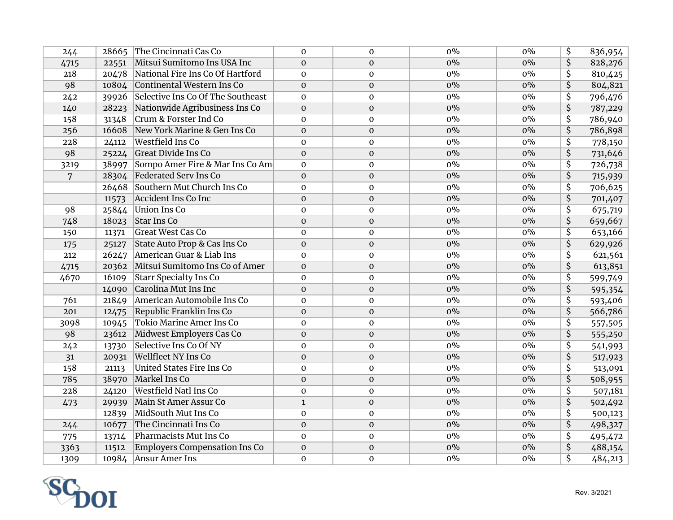| 244  | 28665 | The Cincinnati Cas Co                | $\Omega$     | $\mathbf{0}$     | $0\%$ | $0\%$ | \$                      | 836,954 |
|------|-------|--------------------------------------|--------------|------------------|-------|-------|-------------------------|---------|
| 4715 | 22551 | Mitsui Sumitomo Ins USA Inc          | $\Omega$     | $\mathbf{0}$     | $0\%$ | $0\%$ | \$                      | 828,276 |
| 218  | 20478 | National Fire Ins Co Of Hartford     | $\mathbf 0$  | $\mathbf 0$      | $0\%$ | $0\%$ | $\overline{\mathsf{S}}$ | 810,425 |
| 98   | 10804 | Continental Western Ins Co           | $\mathbf{0}$ | $\boldsymbol{0}$ | $0\%$ | $0\%$ | $\overline{\mathsf{S}}$ | 804,821 |
| 242  | 39926 | Selective Ins Co Of The Southeast    | $\mathbf{0}$ | $\mathbf 0$      | $0\%$ | $0\%$ | \$                      | 796,476 |
| 140  | 28223 | Nationwide Agribusiness Ins Co       | $\mathbf{0}$ | $\boldsymbol{0}$ | $0\%$ | $0\%$ | $\overline{\mathsf{S}}$ | 787,229 |
| 158  | 31348 | Crum & Forster Ind Co                | $\mathbf{0}$ | $\mathbf{0}$     | $0\%$ | $0\%$ | $\overline{\mathsf{S}}$ | 786,940 |
| 256  | 16608 | New York Marine & Gen Ins Co         | $\mathbf{O}$ | $\mathbf 0$      | $0\%$ | $0\%$ | \$                      | 786,898 |
| 228  | 24112 | Westfield Ins Co                     | $\mathbf{0}$ | $\mathbf 0$      | $0\%$ | $0\%$ | $\overline{\mathsf{S}}$ | 778,150 |
| 98   | 25224 | <b>Great Divide Ins Co</b>           | $\mathbf{0}$ | $\mathbf 0$      | $0\%$ | $0\%$ | $\overline{\mathsf{S}}$ | 731,646 |
| 3219 | 38997 | Sompo Amer Fire & Mar Ins Co Ame     | $\mathbf{0}$ | $\mathbf{0}$     | $0\%$ | $0\%$ | $\overline{\mathsf{S}}$ | 726,738 |
| 7    | 28304 | Federated Serv Ins Co                | $\mathbf{0}$ | $\mathbf{O}$     | $0\%$ | $0\%$ | $\overline{\mathsf{S}}$ | 715,939 |
|      | 26468 | Southern Mut Church Ins Co           | $\Omega$     | $\mathbf 0$      | $0\%$ | $0\%$ | $\overline{\mathsf{S}}$ | 706,625 |
|      | 11573 | <b>Accident Ins Co Inc</b>           | $\mathbf{0}$ | $\mathbf 0$      | $0\%$ | $0\%$ | \$                      | 701,407 |
| 98   | 25844 | Union Ins Co                         | $\mathbf 0$  | $\mathbf{0}$     | $0\%$ | $0\%$ | $\overline{\mathsf{S}}$ | 675,719 |
| 748  | 18023 | <b>Star Ins Co</b>                   | $\mathbf{0}$ | $\mathbf 0$      | $0\%$ | $0\%$ | \$                      | 659,667 |
| 150  | 11371 | <b>Great West Cas Co</b>             | $\mathbf{0}$ | $\mathbf 0$      | $0\%$ | $0\%$ | \$                      | 653,166 |
| 175  | 25127 | State Auto Prop & Cas Ins Co         | $\Omega$     | $\mathbf{0}$     | $0\%$ | $0\%$ | \$                      | 629,926 |
| 212  | 26247 | American Guar & Liab Ins             | $\Omega$     | $\mathbf 0$      | $0\%$ | $0\%$ | \$                      | 621,561 |
| 4715 | 20362 | Mitsui Sumitomo Ins Co of Amer       | $\mathbf{0}$ | $\mathbf 0$      | $0\%$ | $0\%$ | \$                      | 613,851 |
| 4670 | 16109 | <b>Starr Specialty Ins Co</b>        | $\mathbf{0}$ | $\mathbf 0$      | $0\%$ | $0\%$ | \$                      | 599,749 |
|      | 14090 | Carolina Mut Ins Inc                 | $\mathbf{0}$ | $\mathbf{O}$     | $0\%$ | $0\%$ | \$                      | 595,354 |
| 761  | 21849 | American Automobile Ins Co           | $\Omega$     | $\mathbf 0$      | $0\%$ | $0\%$ | \$                      | 593,406 |
| 201  | 12475 | Republic Franklin Ins Co             | $\Omega$     | $\boldsymbol{0}$ | $0\%$ | $0\%$ | \$                      | 566,786 |
| 3098 | 10945 | <b>Tokio Marine Amer Ins Co</b>      | $\mathbf{0}$ | $\boldsymbol{0}$ | $0\%$ | $0\%$ | \$                      | 557,505 |
| 98   | 23612 | Midwest Employers Cas Co             | $\mathbf 0$  | $\boldsymbol{0}$ | $0\%$ | $0\%$ | \$                      | 555,250 |
| 242  | 13730 | Selective Ins Co Of NY               | $\mathbf 0$  | $\boldsymbol{0}$ | $0\%$ | $0\%$ | \$                      | 541,993 |
| 31   | 20931 | Wellfleet NY Ins Co                  | $\mathbf 0$  | $\mathbf{O}$     | $0\%$ | $0\%$ | \$                      | 517,923 |
| 158  | 21113 | <b>United States Fire Ins Co</b>     | $\mathbf{0}$ | $\mathbf{0}$     | $0\%$ | $0\%$ | \$                      | 513,091 |
| 785  | 38970 | Markel Ins Co                        | $\mathbf 0$  | $\boldsymbol{0}$ | $0\%$ | $0\%$ | \$                      | 508,955 |
| 228  | 24120 | <b>Westfield Natl Ins Co</b>         | $\mathbf 0$  | $\mathbf 0$      | $0\%$ | $0\%$ | \$                      | 507,181 |
| 473  | 29939 | Main St Amer Assur Co                | $\mathbf{1}$ | $\mathbf{O}$     | $0\%$ | $0\%$ | \$                      | 502,492 |
|      | 12839 | MidSouth Mut Ins Co                  | $\mathbf 0$  | $\mathbf 0$      | $0\%$ | $0\%$ | \$                      | 500,123 |
| 244  | 10677 | The Cincinnati Ins Co                | $\mathbf{0}$ | $\mathbf{0}$     | $0\%$ | $0\%$ | $\overline{\mathsf{S}}$ | 498,327 |
| 775  | 13714 | Pharmacists Mut Ins Co               | $\mathbf{0}$ | $\mathbf{0}$     | $0\%$ | $0\%$ | \$                      | 495,472 |
| 3363 | 11512 | <b>Employers Compensation Ins Co</b> | $\mathbf 0$  | $\boldsymbol{0}$ | $0\%$ | $0\%$ | \$                      | 488,154 |
| 1309 |       | 10984 Ansur Amer Ins                 | $\mathbf{0}$ | $\mathbf{0}$     | $0\%$ | $0\%$ | \$                      | 484,213 |

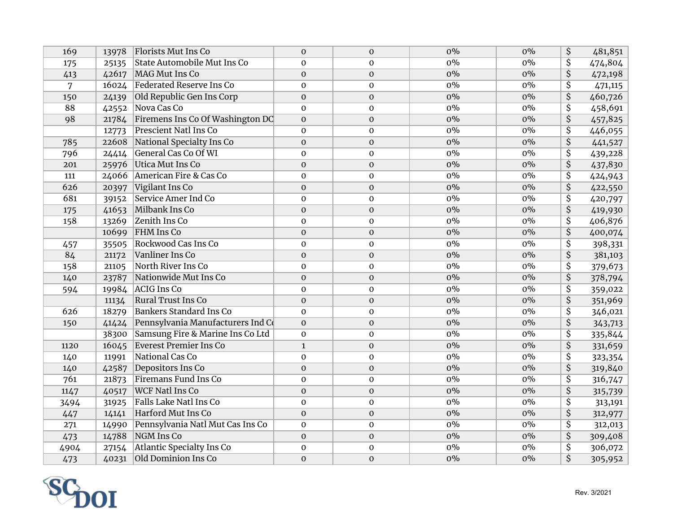| 169  | 13978 | Florists Mut Ins Co                | $\mathbf{0}$     | $\mathbf{O}$     | $0\%$ | $0\%$ | \$                      | 481,851 |
|------|-------|------------------------------------|------------------|------------------|-------|-------|-------------------------|---------|
| 175  | 25135 | <b>State Automobile Mut Ins Co</b> | $\mathbf{0}$     | $\mathbf{0}$     | $0\%$ | $0\%$ | $\overline{\mathsf{S}}$ | 474,804 |
| 413  | 42617 | MAG Mut Ins Co                     | $\boldsymbol{0}$ | $\mathbf 0$      | $0\%$ | $0\%$ | \$                      | 472,198 |
| 7    | 16024 | <b>Federated Reserve Ins Co</b>    | $\mathbf 0$      | $\mathbf 0$      | $0\%$ | $0\%$ | $\overline{\mathsf{S}}$ | 471,115 |
| 150  | 24139 | Old Republic Gen Ins Corp          | $\boldsymbol{0}$ | $\boldsymbol{0}$ | $0\%$ | $0\%$ | \$                      | 460,726 |
| 88   | 42552 | Nova Cas Co                        | $\mathbf 0$      | $\boldsymbol{0}$ | $0\%$ | $0\%$ | \$                      | 458,691 |
| 98   | 21784 | Firemens Ins Co Of Washington DC   | $\mathbf{0}$     | $\boldsymbol{0}$ | $0\%$ | $0\%$ | $\overline{\mathsf{S}}$ | 457,825 |
|      | 12773 | <b>Prescient Natl Ins Co</b>       | $\mathbf 0$      | $\mathbf 0$      | $0\%$ | $0\%$ | \$                      | 446,055 |
| 785  | 22608 | National Specialty Ins Co          | $\mathbf{0}$     | $\boldsymbol{0}$ | $0\%$ | $0\%$ | \$                      | 441,527 |
| 796  | 24414 | General Cas Co Of WI               | $\mathbf 0$      | $\mathbf 0$      | $0\%$ | $0\%$ | \$                      | 439,228 |
| 201  | 25976 | Utica Mut Ins Co                   | $\mathbf{O}$     | $\mathbf 0$      | $0\%$ | $0\%$ | $\overline{\mathsf{S}}$ | 437,830 |
| 111  | 24066 | American Fire & Cas Co             | $\mathbf{0}$     | $\mathbf{0}$     | $0\%$ | $0\%$ | $\overline{\mathsf{S}}$ | 424,943 |
| 626  | 20397 | Vigilant Ins Co                    | $\mathbf{0}$     | $\mathbf{O}$     | $0\%$ | $0\%$ | $\overline{\mathsf{S}}$ | 422,550 |
| 681  | 39152 | Service Amer Ind Co                | $\mathbf 0$      | $\mathbf{O}$     | $0\%$ | $0\%$ | $\overline{\mathsf{S}}$ | 420,797 |
| 175  | 41653 | Milbank Ins Co                     | $\mathbf{0}$     | $\mathbf{O}$     | $0\%$ | $0\%$ | \$                      | 419,930 |
| 158  | 13269 | Zenith Ins Co                      | $\mathbf 0$      | $\mathbf 0$      | $0\%$ | $0\%$ | \$                      | 406,876 |
|      | 10699 | <b>FHM</b> Ins Co                  | $\mathbf 0$      | $\mathbf 0$      | $0\%$ | $0\%$ | \$                      | 400,074 |
| 457  | 35505 | Rockwood Cas Ins Co                | $\mathbf{0}$     | $\mathbf 0$      | $0\%$ | $0\%$ | \$                      | 398,331 |
| 84   | 21172 | Vanliner Ins Co                    | $\mathbf{0}$     | $\boldsymbol{0}$ | $0\%$ | $0\%$ | $\overline{\mathsf{S}}$ | 381,103 |
| 158  | 21105 | North River Ins Co                 | $\mathbf{0}$     | $\mathbf 0$      | $0\%$ | $0\%$ | \$                      | 379,673 |
| 140  | 23787 | Nationwide Mut Ins Co              | $\mathbf{0}$     | $\mathbf{0}$     | $0\%$ | $0\%$ | \$                      | 378,794 |
| 594  | 19984 | <b>ACIG Ins Co</b>                 | $\mathbf 0$      | $\mathbf 0$      | $0\%$ | $0\%$ | \$                      | 359,022 |
|      | 11134 | <b>Rural Trust Ins Co</b>          | $\mathbf{0}$     | $\mathbf 0$      | $0\%$ | $0\%$ | \$                      | 351,969 |
| 626  | 18279 | <b>Bankers Standard Ins Co</b>     | $\mathbf 0$      | $\pmb{0}$        | $0\%$ | $0\%$ | \$                      | 346,021 |
| 150  | 41424 | Pennsylvania Manufacturers Ind Co  | $\mathbf{0}$     | $\mathbf 0$      | $0\%$ | $0\%$ | \$                      | 343,713 |
|      | 38300 | Samsung Fire & Marine Ins Co Ltd   | $\mathbf 0$      | $\mathbf 0$      | $0\%$ | $0\%$ | \$                      | 335,844 |
| 1120 | 16045 | <b>Everest Premier Ins Co</b>      | $\mathbf{1}$     | $\mathbf 0$      | $0\%$ | $0\%$ | \$                      | 331,659 |
| 140  | 11991 | National Cas Co                    | $\mathbf{0}$     | $\mathbf 0$      | $0\%$ | $0\%$ | \$                      | 323,354 |
| 140  | 42587 | Depositors Ins Co                  | $\mathbf 0$      | $\boldsymbol{0}$ | $0\%$ | $0\%$ | \$                      | 319,840 |
| 761  | 21873 | <b>Firemans Fund Ins Co</b>        | $\mathbf 0$      | $\pmb{0}$        | $0\%$ | $0\%$ | \$                      | 316,747 |
| 1147 | 40517 | <b>WCF Natl Ins Co</b>             | $\mathbf 0$      | $\boldsymbol{0}$ | $0\%$ | $0\%$ | \$                      | 315,739 |
| 3494 | 31925 | Falls Lake Natl Ins Co             | $\mathbf 0$      | $\boldsymbol{0}$ | $0\%$ | $0\%$ | \$                      | 313,191 |
| 447  | 14141 | Harford Mut Ins Co                 | $\boldsymbol{0}$ | $\mathbf 0$      | $0\%$ | $0\%$ | \$                      | 312,977 |
| 271  | 14990 | Pennsylvania Natl Mut Cas Ins Co   | $\mathbf{0}$     | $\mathbf{O}$     | $0\%$ | $0\%$ | \$                      | 312,013 |
| 473  | 14788 | NGM Ins Co                         | $\mathbf{0}$     | $\mathbf{O}$     | $0\%$ | $0\%$ | \$                      | 309,408 |
| 4904 | 27154 | <b>Atlantic Specialty Ins Co</b>   | $\mathbf 0$      | $\mathbf 0$      | $0\%$ | $0\%$ | \$                      | 306,072 |
| 473  | 40231 | Old Dominion Ins Co                | $\mathbf{O}$     | $\boldsymbol{0}$ | $0\%$ | $0\%$ | $\overline{\mathsf{S}}$ | 305,952 |

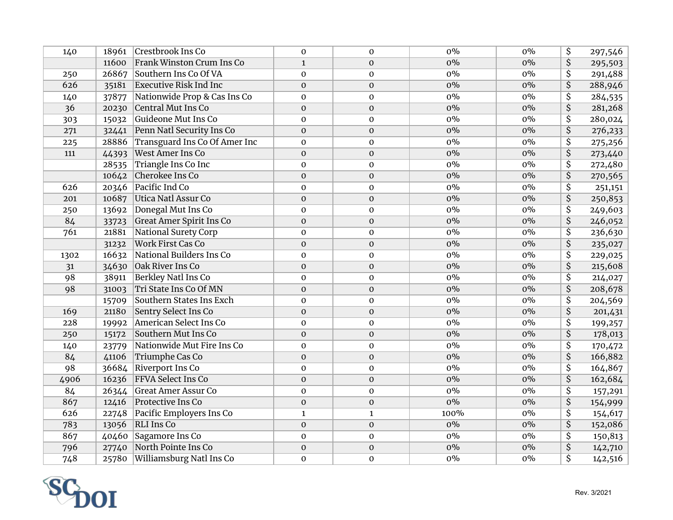| 140  | 18961 | Crestbrook Ins Co               | $\mathbf 0$  | $\mathbf{0}$     | $0\%$ | $0\%$ | \$                      | 297,546 |
|------|-------|---------------------------------|--------------|------------------|-------|-------|-------------------------|---------|
|      | 11600 | Frank Winston Crum Ins Co       | $\mathbf{1}$ | $\mathbf{0}$     | $0\%$ | $0\%$ | \$                      | 295,503 |
| 250  | 26867 | Southern Ins Co Of VA           | $\pmb{0}$    | $\mathbf 0$      | $0\%$ | $0\%$ | $\overline{\mathsf{S}}$ | 291,488 |
| 626  | 35181 | <b>Executive Risk Ind Inc</b>   | $\mathbf{O}$ | $\boldsymbol{0}$ | $0\%$ | $0\%$ | \$                      | 288,946 |
| 140  | 37877 | Nationwide Prop & Cas Ins Co    | $\mathbf 0$  | $\mathbf{O}$     | $0\%$ | $0\%$ | \$                      | 284,535 |
| 36   | 20230 | Central Mut Ins Co              | $\mathbf{O}$ | $\boldsymbol{0}$ | $0\%$ | $0\%$ | $\overline{\mathsf{S}}$ | 281,268 |
| 303  | 15032 | Guideone Mut Ins Co             | $\mathbf{0}$ | $\mathbf{0}$     | $0\%$ | $0\%$ | $\overline{\mathsf{S}}$ | 280,024 |
| 271  | 32441 | Penn Natl Security Ins Co       | $\mathbf{O}$ | $\mathbf 0$      | $0\%$ | $0\%$ | \$                      | 276,233 |
| 225  | 28886 | Transguard Ins Co Of Amer Inc   | $\mathbf 0$  | $\boldsymbol{0}$ | $0\%$ | $0\%$ | $\overline{\mathsf{S}}$ | 275,256 |
| 111  | 44393 | <b>West Amer Ins Co</b>         | $\mathbf{O}$ | $\mathbf 0$      | $0\%$ | $0\%$ | $\overline{\mathsf{S}}$ | 273,440 |
|      | 28535 | Triangle Ins Co Inc             | $\mathbf{0}$ | $\mathbf 0$      | $0\%$ | $0\%$ | $\overline{\mathsf{S}}$ | 272,480 |
|      | 10642 | Cherokee Ins Co                 | $\mathbf{0}$ | $\mathbf{O}$     | $0\%$ | $0\%$ | $\overline{\mathsf{S}}$ | 270,565 |
| 626  | 20346 | Pacific Ind Co                  | $\mathbf 0$  | $\mathbf 0$      | $0\%$ | $0\%$ | $\overline{\mathsf{S}}$ | 251,151 |
| 201  | 10687 | <b>Utica Natl Assur Co</b>      | $\mathbf{0}$ | $\mathbf 0$      | $0\%$ | $0\%$ | \$                      | 250,853 |
| 250  | 13692 | Donegal Mut Ins Co              | $\mathbf 0$  | $\mathbf 0$      | $0\%$ | $0\%$ | $\overline{\mathsf{S}}$ | 249,603 |
| 84   | 33723 | <b>Great Amer Spirit Ins Co</b> | $\mathbf{0}$ | $\boldsymbol{0}$ | $0\%$ | $0\%$ | \$                      | 246,052 |
| 761  | 21881 | <b>National Surety Corp</b>     | $\mathbf{0}$ | $\mathbf 0$      | $0\%$ | $0\%$ | \$                      | 236,630 |
|      | 31232 | <b>Work First Cas Co</b>        | $\mathbf{0}$ | $\mathbf{0}$     | $0\%$ | $0\%$ | \$                      | 235,027 |
| 1302 | 16632 | National Builders Ins Co        | $\mathbf 0$  | $\boldsymbol{0}$ | $0\%$ | $0\%$ | \$                      | 229,025 |
| 31   | 34630 | Oak River Ins Co                | $\mathbf{0}$ | $\mathbf 0$      | $0\%$ | $0\%$ | \$                      | 215,608 |
| 98   | 38911 | <b>Berkley Natl Ins Co</b>      | $\mathbf{0}$ | $\boldsymbol{0}$ | $0\%$ | $0\%$ | \$                      | 214,027 |
| 98   | 31003 | Tri State Ins Co Of MN          | $\mathbf{0}$ | $\mathbf{O}$     | $0\%$ | $0\%$ | \$                      | 208,678 |
|      | 15709 | Southern States Ins Exch        | $\mathbf{0}$ | $\mathbf 0$      | $0\%$ | $0\%$ | \$                      | 204,569 |
| 169  | 21180 | <b>Sentry Select Ins Co</b>     | $\Omega$     | $\boldsymbol{0}$ | $0\%$ | $0\%$ | \$                      | 201,431 |
| 228  | 19992 | American Select Ins Co          | $\mathbf 0$  | $\boldsymbol{0}$ | $0\%$ | $0\%$ | \$                      | 199,257 |
| 250  | 15172 | Southern Mut Ins Co             | $\mathbf 0$  | $\boldsymbol{0}$ | $0\%$ | $0\%$ | \$                      | 178,013 |
| 140  | 23779 | Nationwide Mut Fire Ins Co      | $\mathbf 0$  | $\boldsymbol{0}$ | $0\%$ | $0\%$ | \$                      | 170,472 |
| 84   | 41106 | Triumphe Cas Co                 | $\mathbf 0$  | $\boldsymbol{0}$ | $0\%$ | $0\%$ | $\overline{\mathsf{S}}$ | 166,882 |
| 98   | 36684 | <b>Riverport Ins Co</b>         | $\mathbf{0}$ | $\mathbf 0$      | $0\%$ | $0\%$ | \$                      | 164,867 |
| 4906 | 16236 | FFVA Select Ins Co              | $\mathbf 0$  | $\boldsymbol{0}$ | $0\%$ | $0\%$ | $\overline{\mathsf{S}}$ | 162,684 |
| 84   | 26344 | <b>Great Amer Assur Co</b>      | $\mathbf 0$  | $\pmb{0}$        | $0\%$ | $0\%$ | \$                      | 157,291 |
| 867  | 12416 | Protective Ins Co               | $\mathbf 0$  | $\boldsymbol{0}$ | $0\%$ | $0\%$ | \$                      | 154,999 |
| 626  | 22748 | Pacific Employers Ins Co        | $\mathbf{1}$ | $\mathbf{1}$     | 100%  | $0\%$ | \$                      | 154,617 |
| 783  | 13056 | <b>RLI</b> Ins Co               | $\mathbf{0}$ | $\mathbf{0}$     | $0\%$ | $0\%$ | $\overline{\mathsf{S}}$ | 152,086 |
| 867  | 40460 | Sagamore Ins Co                 | $\mathbf{0}$ | $\mathbf{O}$     | $0\%$ | $0\%$ | \$                      | 150,813 |
| 796  | 27740 | North Pointe Ins Co             | $\mathbf 0$  | $\boldsymbol{0}$ | $0\%$ | $0\%$ | \$                      | 142,710 |
| 748  |       | 25780 Williamsburg Natl Ins Co  | $\mathbf{0}$ | $\mathbf 0$      | $0\%$ | $0\%$ | \$                      | 142,516 |

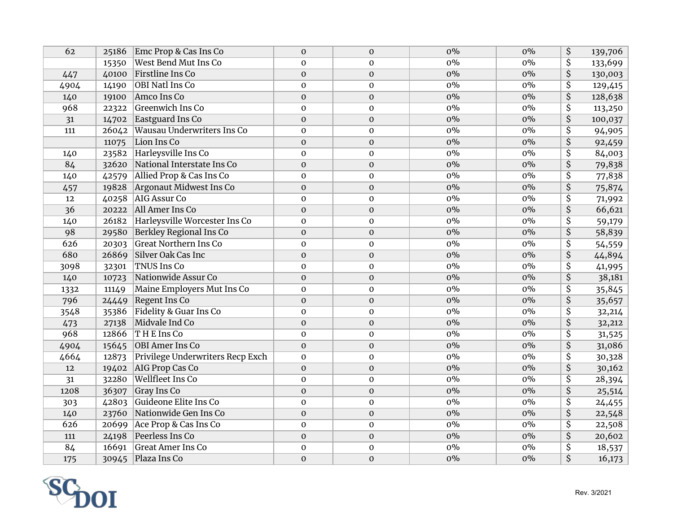| 62   | 25186 | Emc Prop & Cas Ins Co            | $\mathbf{0}$     | $\mathbf{O}$     | $0\%$ | $0\%$ | \$                      | 139,706 |
|------|-------|----------------------------------|------------------|------------------|-------|-------|-------------------------|---------|
|      | 15350 | West Bend Mut Ins Co             | $\mathbf{0}$     | $\mathbf{0}$     | $0\%$ | $0\%$ | $\overline{\mathsf{S}}$ | 133,699 |
| 447  | 40100 | <b>Firstline Ins Co</b>          | $\mathbf 0$      | $\mathbf 0$      | $0\%$ | $0\%$ | \$                      | 130,003 |
| 4904 | 14190 | <b>OBI Natl Ins Co</b>           | $\mathbf 0$      | $\mathbf 0$      | $0\%$ | $0\%$ | $\overline{\mathsf{S}}$ | 129,415 |
| 140  | 19100 | Amco Ins Co                      | $\boldsymbol{0}$ | $\boldsymbol{0}$ | $0\%$ | $0\%$ | \$                      | 128,638 |
| 968  | 22322 | <b>Greenwich Ins Co</b>          | $\mathbf 0$      | $\boldsymbol{0}$ | $0\%$ | $0\%$ | $\overline{\mathsf{S}}$ | 113,250 |
| 31   | 14702 | Eastguard Ins Co                 | $\mathbf{0}$     | $\boldsymbol{0}$ | $0\%$ | $0\%$ | $\overline{\mathsf{S}}$ | 100,037 |
| 111  | 26042 | Wausau Underwriters Ins Co       | $\mathbf{0}$     | $\mathbf 0$      | $0\%$ | $0\%$ | \$                      | 94,905  |
|      | 11075 | Lion Ins Co                      | $\mathbf{0}$     | $\mathbf{0}$     | $0\%$ | $0\%$ | \$                      | 92,459  |
| 140  | 23582 | Harleysville Ins Co              | $\mathbf 0$      | $\mathbf 0$      | $0\%$ | $0\%$ | \$                      | 84,003  |
| 84   | 32620 | National Interstate Ins Co       | $\mathbf{O}$     | $\mathbf 0$      | $0\%$ | $0\%$ | \$                      | 79,838  |
| 140  | 42579 | Allied Prop & Cas Ins Co         | $\mathbf{0}$     | $\mathbf{0}$     | $0\%$ | $0\%$ | $\overline{\mathsf{S}}$ | 77,838  |
| 457  | 19828 | Argonaut Midwest Ins Co          | $\mathbf{0}$     | $\mathbf{0}$     | $0\%$ | $0\%$ | $\overline{\mathsf{S}}$ | 75,874  |
| 12   | 40258 | <b>AIG Assur Co</b>              | $\mathbf 0$      | $\mathbf{0}$     | $0\%$ | $0\%$ | $\overline{\mathsf{S}}$ | 71,992  |
| 36   | 20222 | All Amer Ins Co                  | $\mathbf{0}$     | $\mathbf{O}$     | $0\%$ | $0\%$ | \$                      | 66,621  |
| 140  | 26182 | Harleysville Worcester Ins Co    | $\mathbf 0$      | $\mathbf 0$      | $0\%$ | $0\%$ | \$                      | 59,179  |
| 98   | 29580 | Berkley Regional Ins Co          | $\mathbf{0}$     | $\mathbf 0$      | $0\%$ | $0\%$ | \$                      | 58,839  |
| 626  | 20303 | <b>Great Northern Ins Co</b>     | $\mathbf{0}$     | $\mathbf 0$      | $0\%$ | $0\%$ | \$                      | 54,559  |
| 680  | 26869 | Silver Oak Cas Inc               | $\mathbf{0}$     | $\boldsymbol{0}$ | $0\%$ | $0\%$ | \$                      | 44,894  |
| 3098 | 32301 | <b>TNUS Ins Co</b>               | $\mathbf{0}$     | $\mathbf 0$      | $0\%$ | $0\%$ | \$                      | 41,995  |
| 140  | 10723 | Nationwide Assur Co              | $\mathbf{0}$     | $\mathbf{0}$     | $0\%$ | $0\%$ | \$                      | 38,181  |
| 1332 | 11149 | Maine Employers Mut Ins Co       | $\mathbf 0$      | $\mathbf 0$      | $0\%$ | $0\%$ | \$                      | 35,845  |
| 796  | 24449 | Regent Ins Co                    | $\mathbf{0}$     | $\mathbf 0$      | $0\%$ | $0\%$ | \$                      | 35,657  |
| 3548 | 35386 | Fidelity & Guar Ins Co           | $\mathbf 0$      | $\mathbf 0$      | $0\%$ | $0\%$ | \$                      | 32,214  |
| 473  | 27138 | Midvale Ind Co                   | $\mathbf{0}$     | $\mathbf 0$      | $0\%$ | $0\%$ | \$                      | 32,212  |
| 968  | 12866 | THE Ins Co                       | $\mathbf 0$      | $\mathbf 0$      | $0\%$ | $0\%$ | \$                      | 31,525  |
| 4904 | 15645 | <b>OBI</b> Amer Ins Co           | $\mathbf 0$      | $\mathbf 0$      | $0\%$ | $0\%$ | \$                      | 31,086  |
| 4664 | 12873 | Privilege Underwriters Recp Exch | $\mathbf 0$      | $\mathbf 0$      | $0\%$ | $0\%$ | \$                      | 30,328  |
| 12   | 19402 | <b>AIG Prop Cas Co</b>           | $\mathbf 0$      | $\boldsymbol{0}$ | $0\%$ | $0\%$ | \$                      | 30,162  |
| 31   | 32280 | Wellfleet Ins Co                 | $\mathbf 0$      | $\pmb{0}$        | $0\%$ | $0\%$ | \$                      | 28,394  |
| 1208 | 36307 | Gray Ins Co                      | $\mathbf 0$      | $\boldsymbol{0}$ | $0\%$ | $0\%$ | \$                      | 25,514  |
| 303  | 42803 | Guideone Elite Ins Co            | $\mathbf 0$      | $\mathbf 0$      | $0\%$ | $0\%$ | \$                      | 24,455  |
| 140  | 23760 | Nationwide Gen Ins Co            | $\mathbf 0$      | $\mathbf 0$      | $0\%$ | $0\%$ | \$                      | 22,548  |
| 626  | 20699 | Ace Prop & Cas Ins Co            | $\mathbf{0}$     | $\mathbf{O}$     | $0\%$ | $0\%$ | \$                      | 22,508  |
| 111  | 24198 | Peerless Ins Co                  | $\mathbf{0}$     | $\mathbf{O}$     | $0\%$ | $0\%$ | $\overline{\mathsf{S}}$ | 20,602  |
| 84   | 16691 | <b>Great Amer Ins Co</b>         | $\mathbf 0$      | $\mathbf 0$      | $0\%$ | $0\%$ | \$                      | 18,537  |
| 175  | 30945 | Plaza Ins Co                     | $\mathbf{O}$     | $\boldsymbol{0}$ | $0\%$ | $0\%$ | $\overline{\mathsf{S}}$ | 16,173  |